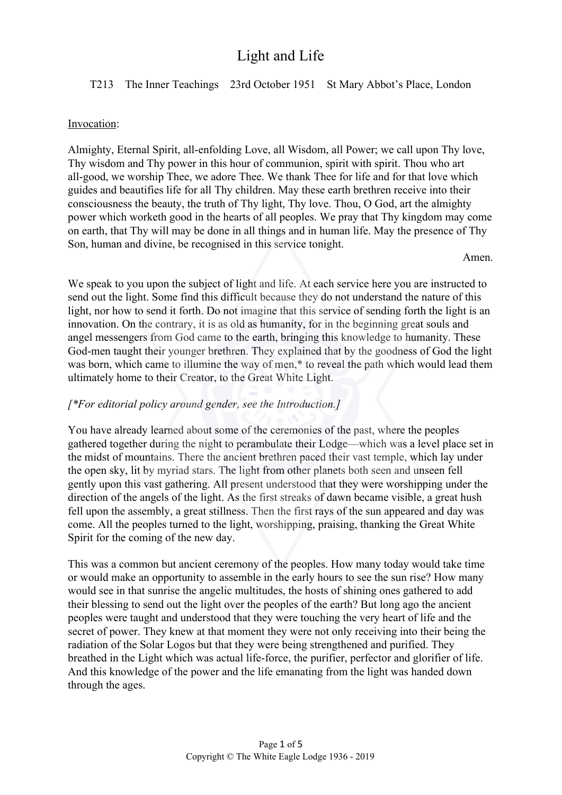### T213 The Inner Teachings 23rd October 1951 St Mary Abbot's Place, London

#### Invocation:

Almighty, Eternal Spirit, all-enfolding Love, all Wisdom, all Power; we call upon Thy love, Thy wisdom and Thy power in this hour of communion, spirit with spirit. Thou who art all-good, we worship Thee, we adore Thee. We thank Thee for life and for that love which guides and beautifies life for all Thy children. May these earth brethren receive into their consciousness the beauty, the truth of Thy light, Thy love. Thou, O God, art the almighty power which worketh good in the hearts of all peoples. We pray that Thy kingdom may come on earth, that Thy will may be done in all things and in human life. May the presence of Thy Son, human and divine, be recognised in this service tonight.

Amen.

We speak to you upon the subject of light and life. At each service here you are instructed to send out the light. Some find this difficult because they do not understand the nature of this light, nor how to send it forth. Do not imagine that this service of sending forth the light is an innovation. On the contrary, it is as old as humanity, for in the beginning great souls and angel messengers from God came to the earth, bringing this knowledge to humanity. These God-men taught their younger brethren. They explained that by the goodness of God the light was born, which came to illumine the way of men,<sup>\*</sup> to reveal the path which would lead them ultimately home to their Creator, to the Great White Light.

#### *[\*For editorial policy around gender, see the Introduction.]*

You have already learned about some of the ceremonies of the past, where the peoples gathered together during the night to perambulate their Lodge—which was a level place set in the midst of mountains. There the ancient brethren paced their vast temple, which lay under the open sky, lit by myriad stars. The light from other planets both seen and unseen fell gently upon this vast gathering. All present understood that they were worshipping under the direction of the angels of the light. As the first streaks of dawn became visible, a great hush fell upon the assembly, a great stillness. Then the first rays of the sun appeared and day was come. All the peoples turned to the light, worshipping, praising, thanking the Great White Spirit for the coming of the new day.

This was a common but ancient ceremony of the peoples. How many today would take time or would make an opportunity to assemble in the early hours to see the sun rise? How many would see in that sunrise the angelic multitudes, the hosts of shining ones gathered to add their blessing to send out the light over the peoples of the earth? But long ago the ancient peoples were taught and understood that they were touching the very heart of life and the secret of power. They knew at that moment they were not only receiving into their being the radiation of the Solar Logos but that they were being strengthened and purified. They breathed in the Light which was actual life-force, the purifier, perfector and glorifier of life. And this knowledge of the power and the life emanating from the light was handed down through the ages.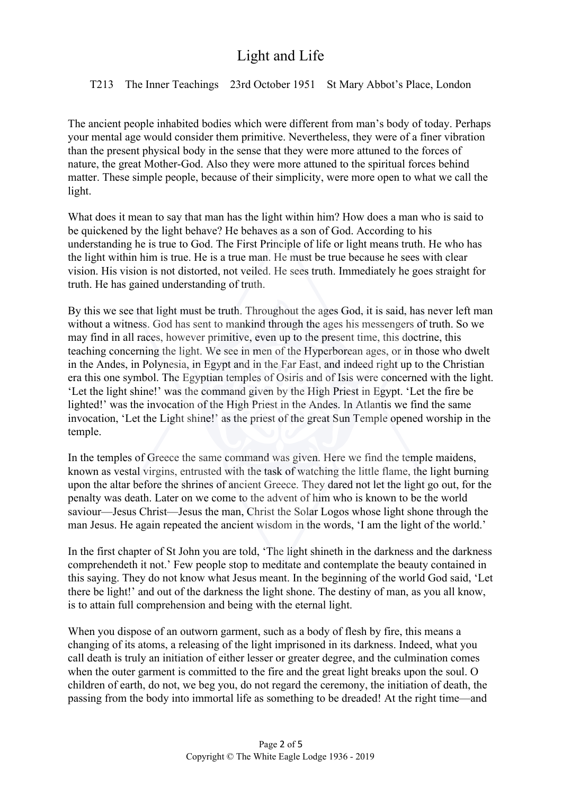### T213 The Inner Teachings 23rd October 1951 St Mary Abbot's Place, London

The ancient people inhabited bodies which were different from man's body of today. Perhaps your mental age would consider them primitive. Nevertheless, they were of a finer vibration than the present physical body in the sense that they were more attuned to the forces of nature, the great Mother-God. Also they were more attuned to the spiritual forces behind matter. These simple people, because of their simplicity, were more open to what we call the light.

What does it mean to say that man has the light within him? How does a man who is said to be quickened by the light behave? He behaves as a son of God. According to his understanding he is true to God. The First Principle of life or light means truth. He who has the light within him is true. He is a true man. He must be true because he sees with clear vision. His vision is not distorted, not veiled. He sees truth. Immediately he goes straight for truth. He has gained understanding of truth.

By this we see that light must be truth. Throughout the ages God, it is said, has never left man without a witness. God has sent to mankind through the ages his messengers of truth. So we may find in all races, however primitive, even up to the present time, this doctrine, this teaching concerning the light. We see in men of the Hyperborean ages, or in those who dwelt in the Andes, in Polynesia, in Egypt and in the Far East, and indeed right up to the Christian era this one symbol. The Egyptian temples of Osiris and of Isis were concerned with the light. 'Let the light shine!' was the command given by the High Priest in Egypt. 'Let the fire be lighted!' was the invocation of the High Priest in the Andes. In Atlantis we find the same invocation, 'Let the Light shine!' as the priest of the great Sun Temple opened worship in the temple.

In the temples of Greece the same command was given. Here we find the temple maidens, known as vestal virgins, entrusted with the task of watching the little flame, the light burning upon the altar before the shrines of ancient Greece. They dared not let the light go out, for the penalty was death. Later on we come to the advent of him who is known to be the world saviour—Jesus Christ—Jesus the man, Christ the Solar Logos whose light shone through the man Jesus. He again repeated the ancient wisdom in the words, 'I am the light of the world.'

In the first chapter of St John you are told, 'The light shineth in the darkness and the darkness comprehendeth it not.' Few people stop to meditate and contemplate the beauty contained in this saying. They do not know what Jesus meant. In the beginning of the world God said, 'Let there be light!' and out of the darkness the light shone. The destiny of man, as you all know, is to attain full comprehension and being with the eternal light.

When you dispose of an outworn garment, such as a body of flesh by fire, this means a changing of its atoms, a releasing of the light imprisoned in its darkness. Indeed, what you call death is truly an initiation of either lesser or greater degree, and the culmination comes when the outer garment is committed to the fire and the great light breaks upon the soul. O children of earth, do not, we beg you, do not regard the ceremony, the initiation of death, the passing from the body into immortal life as something to be dreaded! At the right time—and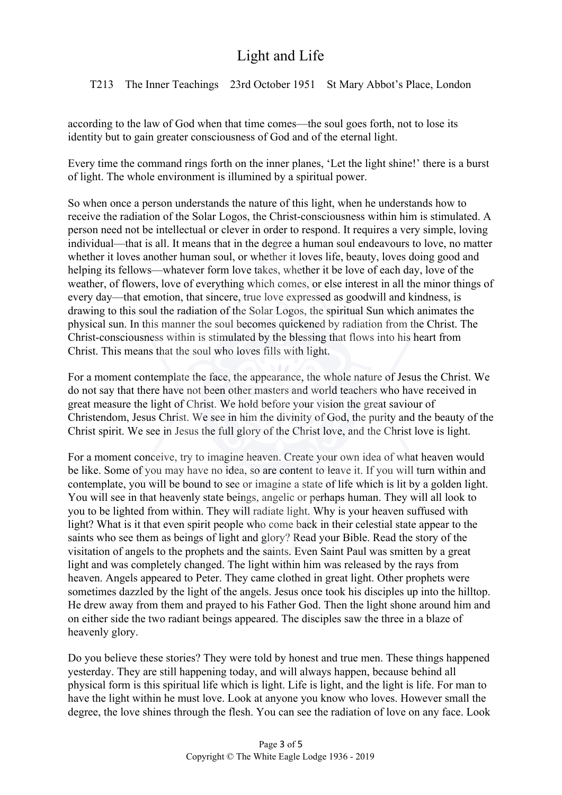T213 The Inner Teachings 23rd October 1951 St Mary Abbot's Place, London

according to the law of God when that time comes—the soul goes forth, not to lose its identity but to gain greater consciousness of God and of the eternal light.

Every time the command rings forth on the inner planes, 'Let the light shine!' there is a burst of light. The whole environment is illumined by a spiritual power.

So when once a person understands the nature of this light, when he understands how to receive the radiation of the Solar Logos, the Christ-consciousness within him is stimulated. A person need not be intellectual or clever in order to respond. It requires a very simple, loving individual—that is all. It means that in the degree a human soul endeavours to love, no matter whether it loves another human soul, or whether it loves life, beauty, loves doing good and helping its fellows—whatever form love takes, whether it be love of each day, love of the weather, of flowers, love of everything which comes, or else interest in all the minor things of every day—that emotion, that sincere, true love expressed as goodwill and kindness, is drawing to this soul the radiation of the Solar Logos, the spiritual Sun which animates the physical sun. In this manner the soul becomes quickened by radiation from the Christ. The Christ-consciousness within is stimulated by the blessing that flows into his heart from Christ. This means that the soul who loves fills with light.

For a moment contemplate the face, the appearance, the whole nature of Jesus the Christ. We do not say that there have not been other masters and world teachers who have received in great measure the light of Christ. We hold before your vision the great saviour of Christendom, Jesus Christ. We see in him the divinity of God, the purity and the beauty of the Christ spirit. We see in Jesus the full glory of the Christ love, and the Christ love is light.

For a moment conceive, try to imagine heaven. Create your own idea of what heaven would be like. Some of you may have no idea, so are content to leave it. If you will turn within and contemplate, you will be bound to see or imagine a state of life which is lit by a golden light. You will see in that heavenly state beings, angelic or perhaps human. They will all look to you to be lighted from within. They will radiate light. Why is your heaven suffused with light? What is it that even spirit people who come back in their celestial state appear to the saints who see them as beings of light and glory? Read your Bible. Read the story of the visitation of angels to the prophets and the saints. Even Saint Paul was smitten by a great light and was completely changed. The light within him was released by the rays from heaven. Angels appeared to Peter. They came clothed in great light. Other prophets were sometimes dazzled by the light of the angels. Jesus once took his disciples up into the hilltop. He drew away from them and prayed to his Father God. Then the light shone around him and on either side the two radiant beings appeared. The disciples saw the three in a blaze of heavenly glory.

Do you believe these stories? They were told by honest and true men. These things happened yesterday. They are still happening today, and will always happen, because behind all physical form is this spiritual life which is light. Life is light, and the light is life. For man to have the light within he must love. Look at anyone you know who loves. However small the degree, the love shines through the flesh. You can see the radiation of love on any face. Look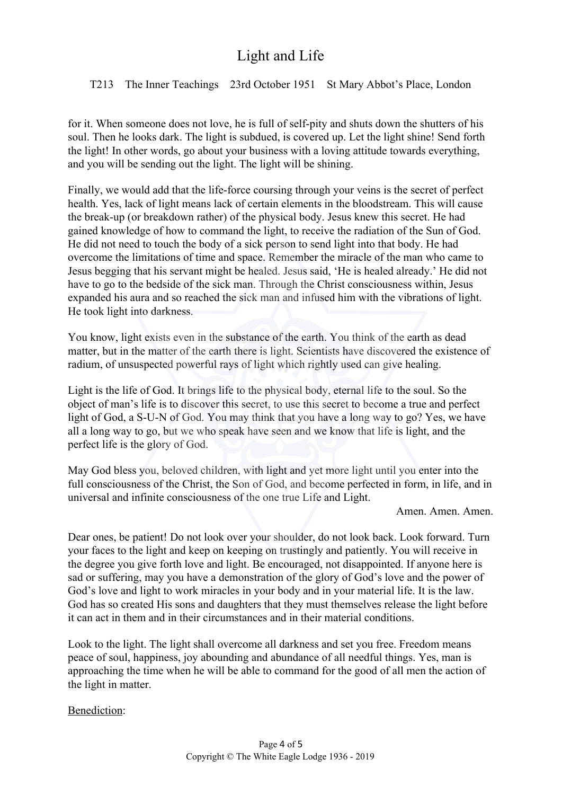T213 The Inner Teachings 23rd October 1951 St Mary Abbot's Place, London

for it. When someone does not love, he is full of self-pity and shuts down the shutters of his soul. Then he looks dark. The light is subdued, is covered up. Let the light shine! Send forth the light! In other words, go about your business with a loving attitude towards everything, and you will be sending out the light. The light will be shining.

Finally, we would add that the life-force coursing through your veins is the secret of perfect health. Yes, lack of light means lack of certain elements in the bloodstream. This will cause the break-up (or breakdown rather) of the physical body. Jesus knew this secret. He had gained knowledge of how to command the light, to receive the radiation of the Sun of God. He did not need to touch the body of a sick person to send light into that body. He had overcome the limitations of time and space. Remember the miracle of the man who came to Jesus begging that his servant might be healed. Jesus said, 'He is healed already.' He did not have to go to the bedside of the sick man. Through the Christ consciousness within, Jesus expanded his aura and so reached the sick man and infused him with the vibrations of light. He took light into darkness.

You know, light exists even in the substance of the earth. You think of the earth as dead matter, but in the matter of the earth there is light. Scientists have discovered the existence of radium, of unsuspected powerful rays of light which rightly used can give healing.

Light is the life of God. It brings life to the physical body, eternal life to the soul. So the object of man's life is to discover this secret, to use this secret to become a true and perfect light of God, a S-U-N of God. You may think that you have a long way to go? Yes, we have all a long way to go, but we who speak have seen and we know that life is light, and the perfect life is the glory of God.

May God bless you, beloved children, with light and yet more light until you enter into the full consciousness of the Christ, the Son of God, and become perfected in form, in life, and in universal and infinite consciousness of the one true Life and Light.

Amen. Amen. Amen.

Dear ones, be patient! Do not look over your shoulder, do not look back. Look forward. Turn your faces to the light and keep on keeping on trustingly and patiently. You will receive in the degree you give forth love and light. Be encouraged, not disappointed. If anyone here is sad or suffering, may you have a demonstration of the glory of God's love and the power of God's love and light to work miracles in your body and in your material life. It is the law. God has so created His sons and daughters that they must themselves release the light before it can act in them and in their circumstances and in their material conditions.

Look to the light. The light shall overcome all darkness and set you free. Freedom means peace of soul, happiness, joy abounding and abundance of all needful things. Yes, man is approaching the time when he will be able to command for the good of all men the action of the light in matter.

Benediction: